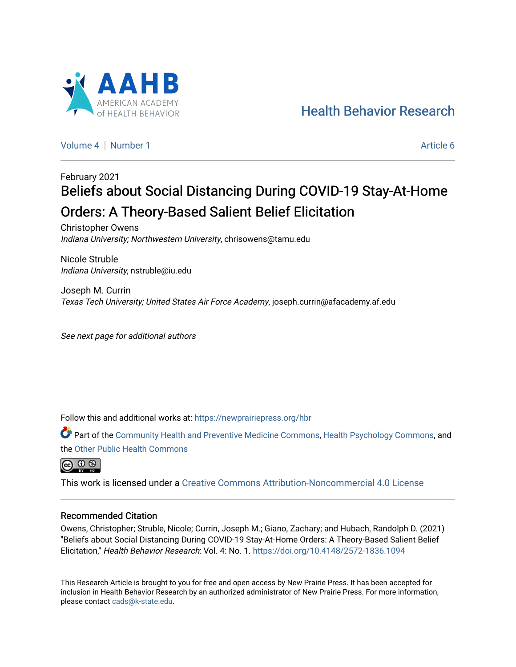

[Health Behavior Research](https://newprairiepress.org/hbr) 

[Volume 4](https://newprairiepress.org/hbr/vol4) | [Number 1](https://newprairiepress.org/hbr/vol4/iss1) Article 6

# February 2021 Beliefs about Social Distancing During COVID-19 Stay-At-Home Orders: A Theory-Based Salient Belief Elicitation

Christopher Owens Indiana University; Northwestern University, chrisowens@tamu.edu

Nicole Struble Indiana University, nstruble@iu.edu

Joseph M. Currin Texas Tech University; United States Air Force Academy, joseph.currin@afacademy.af.edu

See next page for additional authors

Follow this and additional works at: [https://newprairiepress.org/hbr](https://newprairiepress.org/hbr?utm_source=newprairiepress.org%2Fhbr%2Fvol4%2Fiss1%2F6&utm_medium=PDF&utm_campaign=PDFCoverPages) 

Part of the [Community Health and Preventive Medicine Commons](http://network.bepress.com/hgg/discipline/744?utm_source=newprairiepress.org%2Fhbr%2Fvol4%2Fiss1%2F6&utm_medium=PDF&utm_campaign=PDFCoverPages), [Health Psychology Commons,](http://network.bepress.com/hgg/discipline/411?utm_source=newprairiepress.org%2Fhbr%2Fvol4%2Fiss1%2F6&utm_medium=PDF&utm_campaign=PDFCoverPages) and the [Other Public Health Commons](http://network.bepress.com/hgg/discipline/748?utm_source=newprairiepress.org%2Fhbr%2Fvol4%2Fiss1%2F6&utm_medium=PDF&utm_campaign=PDFCoverPages) 



This work is licensed under a [Creative Commons Attribution-Noncommercial 4.0 License](https://creativecommons.org/licenses/by-nc/4.0/)

### Recommended Citation

Owens, Christopher; Struble, Nicole; Currin, Joseph M.; Giano, Zachary; and Hubach, Randolph D. (2021) "Beliefs about Social Distancing During COVID-19 Stay-At-Home Orders: A Theory-Based Salient Belief Elicitation," Health Behavior Research: Vol. 4: No. 1.<https://doi.org/10.4148/2572-1836.1094>

This Research Article is brought to you for free and open access by New Prairie Press. It has been accepted for inclusion in Health Behavior Research by an authorized administrator of New Prairie Press. For more information, please contact [cads@k-state.edu.](mailto:cads@k-state.edu)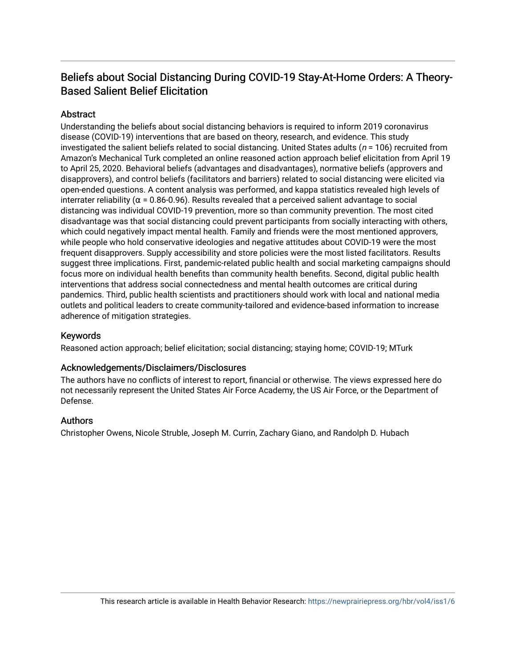## Beliefs about Social Distancing During COVID-19 Stay-At-Home Orders: A Theory-Based Salient Belief Elicitation

### **Abstract**

Understanding the beliefs about social distancing behaviors is required to inform 2019 coronavirus disease (COVID-19) interventions that are based on theory, research, and evidence. This study investigated the salient beliefs related to social distancing. United States adults ( $n = 106$ ) recruited from Amazon's Mechanical Turk completed an online reasoned action approach belief elicitation from April 19 to April 25, 2020. Behavioral beliefs (advantages and disadvantages), normative beliefs (approvers and disapprovers), and control beliefs (facilitators and barriers) related to social distancing were elicited via open-ended questions. A content analysis was performed, and kappa statistics revealed high levels of interrater reliability ( $\alpha$  = 0.86-0.96). Results revealed that a perceived salient advantage to social distancing was individual COVID-19 prevention, more so than community prevention. The most cited disadvantage was that social distancing could prevent participants from socially interacting with others, which could negatively impact mental health. Family and friends were the most mentioned approvers, while people who hold conservative ideologies and negative attitudes about COVID-19 were the most frequent disapprovers. Supply accessibility and store policies were the most listed facilitators. Results suggest three implications. First, pandemic-related public health and social marketing campaigns should focus more on individual health benefits than community health benefits. Second, digital public health interventions that address social connectedness and mental health outcomes are critical during pandemics. Third, public health scientists and practitioners should work with local and national media outlets and political leaders to create community-tailored and evidence-based information to increase adherence of mitigation strategies.

### Keywords

Reasoned action approach; belief elicitation; social distancing; staying home; COVID-19; MTurk

### Acknowledgements/Disclaimers/Disclosures

The authors have no conflicts of interest to report, financial or otherwise. The views expressed here do not necessarily represent the United States Air Force Academy, the US Air Force, or the Department of Defense.

### **Authors**

Christopher Owens, Nicole Struble, Joseph M. Currin, Zachary Giano, and Randolph D. Hubach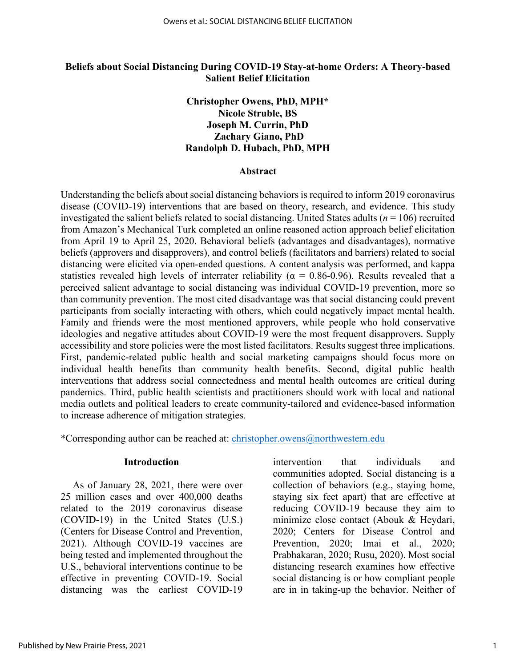### **Beliefs about Social Distancing During COVID-19 Stay-at-home Orders: A Theory-based Salient Belief Elicitation**

### **Christopher Owens, PhD, MPH\* Nicole Struble, BS Joseph M. Currin, PhD Zachary Giano, PhD Randolph D. Hubach, PhD, MPH**

#### **Abstract**

Understanding the beliefs about social distancing behaviors is required to inform 2019 coronavirus disease (COVID-19) interventions that are based on theory, research, and evidence. This study investigated the salient beliefs related to social distancing. United States adults ( $n = 106$ ) recruited from Amazon's Mechanical Turk completed an online reasoned action approach belief elicitation from April 19 to April 25, 2020. Behavioral beliefs (advantages and disadvantages), normative beliefs (approvers and disapprovers), and control beliefs (facilitators and barriers) related to social distancing were elicited via open-ended questions. A content analysis was performed, and kappa statistics revealed high levels of interrater reliability ( $\alpha = 0.86$ -0.96). Results revealed that a perceived salient advantage to social distancing was individual COVID-19 prevention, more so than community prevention. The most cited disadvantage was that social distancing could prevent participants from socially interacting with others, which could negatively impact mental health. Family and friends were the most mentioned approvers, while people who hold conservative ideologies and negative attitudes about COVID-19 were the most frequent disapprovers. Supply accessibility and store policies were the most listed facilitators. Results suggest three implications. First, pandemic-related public health and social marketing campaigns should focus more on individual health benefits than community health benefits. Second, digital public health interventions that address social connectedness and mental health outcomes are critical during pandemics. Third, public health scientists and practitioners should work with local and national media outlets and political leaders to create community-tailored and evidence-based information to increase adherence of mitigation strategies.

\*Corresponding author can be reached at: [christopher.owens@northwestern.edu](mailto:christopher.owens@northwestern.edu) 

#### **Introduction**

As of January 28, 2021, there were over 25 million cases and over 400,000 deaths related to the 2019 coronavirus disease (COVID-19) in the United States (U.S.) (Centers for Disease Control and Prevention, 2021). Although COVID-19 vaccines are being tested and implemented throughout the U.S., behavioral interventions continue to be effective in preventing COVID-19. Social distancing was the earliest COVID-19

intervention that individuals and communities adopted. Social distancing is a collection of behaviors (e.g., staying home, staying six feet apart) that are effective at reducing COVID-19 because they aim to minimize close contact (Abouk & Heydari, 2020; Centers for Disease Control and Prevention, 2020; Imai et al., 2020; Prabhakaran, 2020; Rusu, 2020). Most social distancing research examines how effective social distancing is or how compliant people are in in taking-up the behavior. Neither of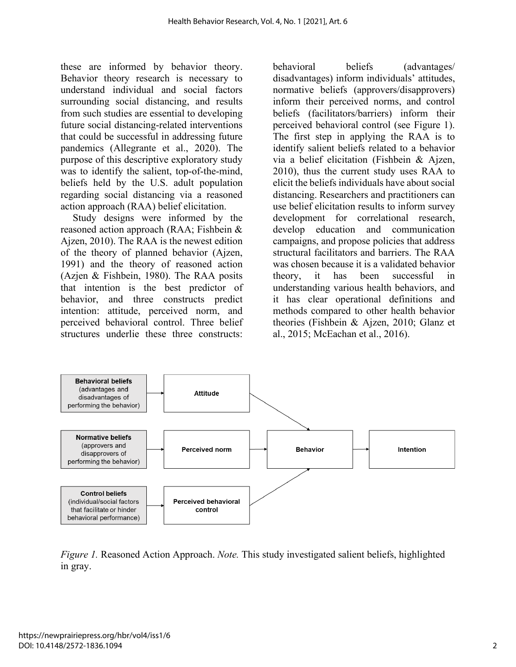these are informed by behavior theory. Behavior theory research is necessary to understand individual and social factors surrounding social distancing, and results from such studies are essential to developing future social distancing-related interventions that could be successful in addressing future pandemics (Allegrante et al., 2020). The purpose of this descriptive exploratory study was to identify the salient, top-of-the-mind, beliefs held by the U.S. adult population regarding social distancing via a reasoned action approach (RAA) belief elicitation.

Study designs were informed by the reasoned action approach (RAA; Fishbein & Ajzen, 2010). The RAA is the newest edition of the theory of planned behavior (Ajzen, 1991) and the theory of reasoned action (Azjen & Fishbein, 1980). The RAA posits that intention is the best predictor of behavior, and three constructs predict intention: attitude, perceived norm, and perceived behavioral control. Three belief structures underlie these three constructs:

behavioral beliefs (advantages/ disadvantages) inform individuals' attitudes, normative beliefs (approvers/disapprovers) inform their perceived norms, and control beliefs (facilitators/barriers) inform their perceived behavioral control (see Figure 1). The first step in applying the RAA is to identify salient beliefs related to a behavior via a belief elicitation (Fishbein & Ajzen, 2010), thus the current study uses RAA to elicit the beliefs individuals have about social distancing. Researchers and practitioners can use belief elicitation results to inform survey development for correlational research, develop education and communication campaigns, and propose policies that address structural facilitators and barriers. The RAA was chosen because it is a validated behavior theory, it has been successful in understanding various health behaviors, and it has clear operational definitions and methods compared to other health behavior theories (Fishbein & Ajzen, 2010; Glanz et al., 2015; McEachan et al., 2016).



*Figure 1.* Reasoned Action Approach. *Note.* This study investigated salient beliefs, highlighted in gray.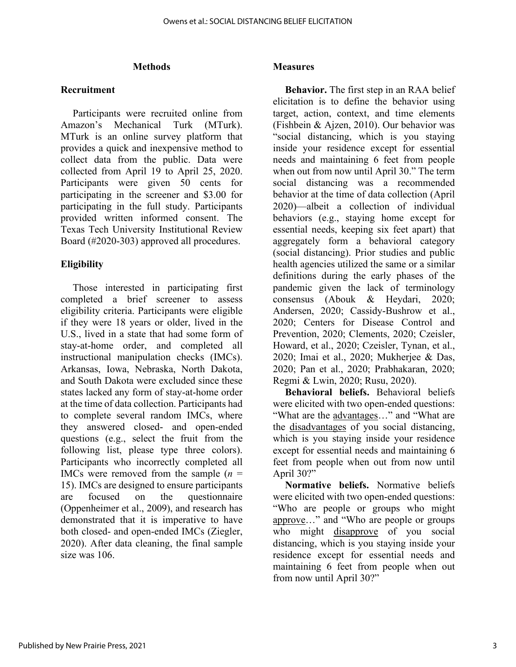### **Methods**

### **Recruitment**

Participants were recruited online from Amazon's Mechanical Turk (MTurk). MTurk is an online survey platform that provides a quick and inexpensive method to collect data from the public. Data were collected from April 19 to April 25, 2020. Participants were given 50 cents for participating in the screener and \$3.00 for participating in the full study. Participants provided written informed consent. The Texas Tech University Institutional Review Board (#2020-303) approved all procedures.

### **Eligibility**

Those interested in participating first completed a brief screener to assess eligibility criteria. Participants were eligible if they were 18 years or older, lived in the U.S., lived in a state that had some form of stay-at-home order, and completed all instructional manipulation checks (IMCs). Arkansas, Iowa, Nebraska, North Dakota, and South Dakota were excluded since these states lacked any form of stay-at-home order at the time of data collection. Participants had to complete several random IMCs, where they answered closed- and open-ended questions (e.g., select the fruit from the following list, please type three colors). Participants who incorrectly completed all IMCs were removed from the sample  $(n =$ 15). IMCs are designed to ensure participants are focused on the questionnaire (Oppenheimer et al., 2009), and research has demonstrated that it is imperative to have both closed- and open-ended IMCs (Ziegler, 2020). After data cleaning, the final sample size was 106.

### **Measures**

**Behavior.** The first step in an RAA belief elicitation is to define the behavior using target, action, context, and time elements (Fishbein & Ajzen, 2010). Our behavior was "social distancing, which is you staying inside your residence except for essential needs and maintaining 6 feet from people when out from now until April 30." The term social distancing was a recommended behavior at the time of data collection (April 2020)—albeit a collection of individual behaviors (e.g., staying home except for essential needs, keeping six feet apart) that aggregately form a behavioral category (social distancing). Prior studies and public health agencies utilized the same or a similar definitions during the early phases of the pandemic given the lack of terminology consensus (Abouk & Heydari, 2020; Andersen, 2020; Cassidy-Bushrow et al., 2020; Centers for Disease Control and Prevention, 2020; Clements, 2020; Czeisler, Howard, et al., 2020; Czeisler, Tynan, et al., 2020; Imai et al., 2020; Mukherjee & Das, 2020; Pan et al., 2020; Prabhakaran, 2020; Regmi & Lwin, 2020; Rusu, 2020).

**Behavioral beliefs.** Behavioral beliefs were elicited with two open-ended questions: "What are the advantages…" and "What are the disadvantages of you social distancing, which is you staying inside your residence except for essential needs and maintaining 6 feet from people when out from now until April 30?"

**Normative beliefs.** Normative beliefs were elicited with two open-ended questions: "Who are people or groups who might approve…" and "Who are people or groups who might disapprove of you social distancing, which is you staying inside your residence except for essential needs and maintaining 6 feet from people when out from now until April 30?"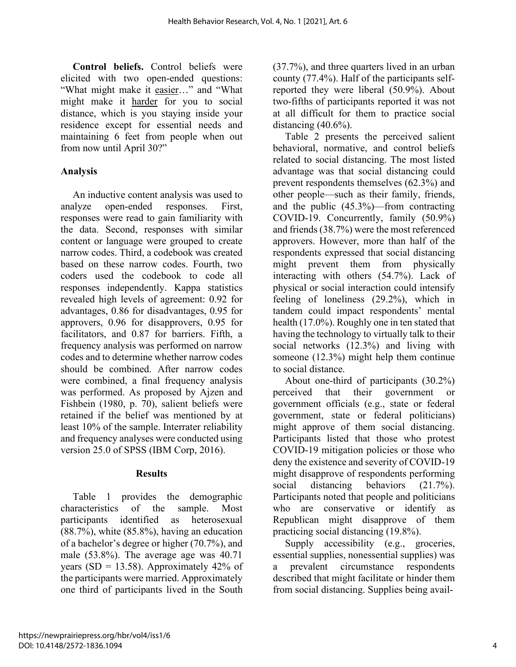**Control beliefs.** Control beliefs were elicited with two open-ended questions: "What might make it easier…" and "What might make it harder for you to social distance, which is you staying inside your residence except for essential needs and maintaining 6 feet from people when out from now until April 30?"

### **Analysis**

An inductive content analysis was used to analyze open-ended responses. First, responses were read to gain familiarity with the data. Second, responses with similar content or language were grouped to create narrow codes. Third, a codebook was created based on these narrow codes. Fourth, two coders used the codebook to code all responses independently. Kappa statistics revealed high levels of agreement: 0.92 for advantages, 0.86 for disadvantages, 0.95 for approvers, 0.96 for disapprovers, 0.95 for facilitators, and 0.87 for barriers. Fifth, a frequency analysis was performed on narrow codes and to determine whether narrow codes should be combined. After narrow codes were combined, a final frequency analysis was performed. As proposed by Ajzen and Fishbein (1980, p. 70), salient beliefs were retained if the belief was mentioned by at least 10% of the sample. Interrater reliability and frequency analyses were conducted using version 25.0 of SPSS (IBM Corp, 2016).

### **Results**

Table 1 provides the demographic characteristics of the sample. Most participants identified as heterosexual (88.7%), white (85.8%), having an education of a bachelor's degree or higher (70.7%), and male (53.8%). The average age was 40.71 years (SD = 13.58). Approximately  $42\%$  of the participants were married. Approximately one third of participants lived in the South

(37.7%), and three quarters lived in an urban county (77.4%). Half of the participants selfreported they were liberal (50.9%). About two-fifths of participants reported it was not at all difficult for them to practice social distancing (40.6%).

Table 2 presents the perceived salient behavioral, normative, and control beliefs related to social distancing. The most listed advantage was that social distancing could prevent respondents themselves (62.3%) and other people—such as their family, friends, and the public (45.3%)—from contracting COVID-19. Concurrently, family (50.9%) and friends (38.7%) were the most referenced approvers. However, more than half of the respondents expressed that social distancing might prevent them from physically interacting with others (54.7%). Lack of physical or social interaction could intensify feeling of loneliness (29.2%), which in tandem could impact respondents' mental health (17.0%). Roughly one in ten stated that having the technology to virtually talk to their social networks (12.3%) and living with someone (12.3%) might help them continue to social distance.

About one-third of participants (30.2%) perceived that their government or government officials (e.g., state or federal government, state or federal politicians) might approve of them social distancing. Participants listed that those who protest COVID-19 mitigation policies or those who deny the existence and severity of COVID-19 might disapprove of respondents performing social distancing behaviors (21.7%). Participants noted that people and politicians who are conservative or identify as Republican might disapprove of them practicing social distancing (19.8%).

Supply accessibility (e.g., groceries, essential supplies, nonessential supplies) was a prevalent circumstance respondents described that might facilitate or hinder them from social distancing. Supplies being avail-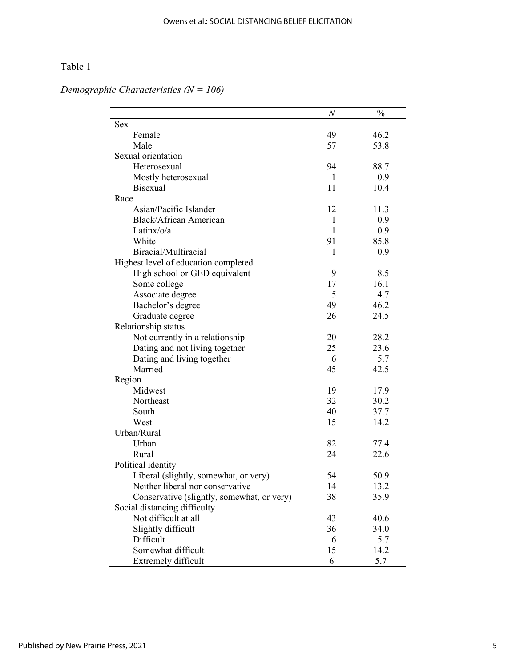### Table 1

*Demographic Characteristics (N = 106)* 

|                                            | $_{N}$ | $\frac{0}{0}$ |
|--------------------------------------------|--------|---------------|
| <b>Sex</b>                                 |        |               |
| Female                                     | 49     | 46.2          |
| Male                                       | 57     | 53.8          |
| Sexual orientation                         |        |               |
| Heterosexual                               | 94     | 88.7          |
| Mostly heterosexual                        | 1      | 0.9           |
| <b>Bisexual</b>                            | 11     | 10.4          |
| Race                                       |        |               |
| Asian/Pacific Islander                     | 12     | 11.3          |
| Black/African American                     | 1      | 0.9           |
| Latinx/o/a                                 | 1      | 0.9           |
| White                                      | 91     | 85.8          |
| Biracial/Multiracial                       | 1      | 0.9           |
| Highest level of education completed       |        |               |
| High school or GED equivalent              | 9      | 8.5           |
| Some college                               | 17     | 16.1          |
| Associate degree                           | 5      | 4.7           |
| Bachelor's degree                          | 49     | 46.2          |
| Graduate degree                            | 26     | 24.5          |
| Relationship status                        |        |               |
| Not currently in a relationship            | 20     | 28.2          |
| Dating and not living together             | 25     | 23.6          |
| Dating and living together                 | 6      | 5.7           |
| Married                                    | 45     | 42.5          |
| Region                                     |        |               |
| Midwest                                    | 19     | 17.9          |
| Northeast                                  | 32     | 30.2          |
| South                                      | 40     | 37.7          |
| West                                       | 15     | 14.2          |
| Urban/Rural                                |        |               |
| Urban                                      | 82     | 77.4          |
| Rural                                      | 24     | 22.6          |
| Political identity                         |        |               |
| Liberal (slightly, somewhat, or very)      | 54     | 50.9          |
| Neither liberal nor conservative           | 14     | 13.2          |
| Conservative (slightly, somewhat, or very) | 38     | 35.9          |
| Social distancing difficulty               |        |               |
| Not difficult at all                       | 43     | 40.6          |
| Slightly difficult                         | 36     | 34.0          |
| Difficult                                  | 6      | 5.7           |
| Somewhat difficult                         | 15     | 14.2          |
| Extremely difficult                        | 6      | 5.7           |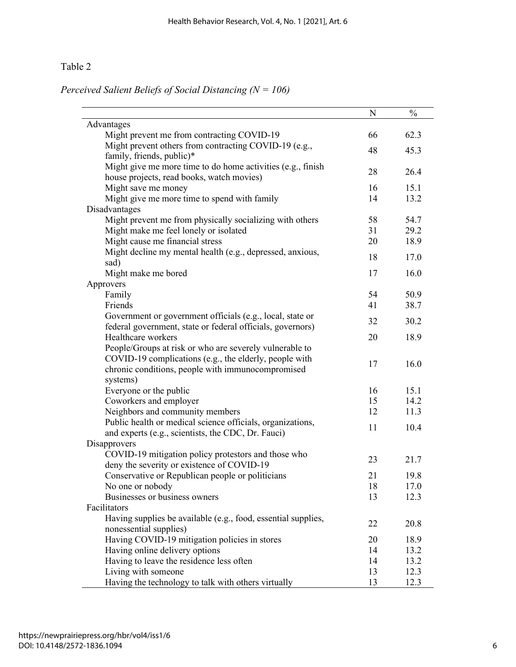### Table 2

## *Perceived Salient Beliefs of Social Distancing (N = 106)*

|                                                               | N  | $\frac{0}{0}$ |
|---------------------------------------------------------------|----|---------------|
| Advantages                                                    |    |               |
| Might prevent me from contracting COVID-19                    | 66 | 62.3          |
| Might prevent others from contracting COVID-19 (e.g.,         | 48 | 45.3          |
| family, friends, public)*                                     |    |               |
| Might give me more time to do home activities (e.g., finish   | 28 | 26.4          |
| house projects, read books, watch movies)                     |    |               |
| Might save me money                                           | 16 | 15.1          |
| Might give me more time to spend with family                  | 14 | 13.2          |
| Disadvantages                                                 |    |               |
| Might prevent me from physically socializing with others      | 58 | 54.7          |
| Might make me feel lonely or isolated                         | 31 | 29.2          |
| Might cause me financial stress                               | 20 | 18.9          |
| Might decline my mental health (e.g., depressed, anxious,     | 18 | 17.0          |
| sad)                                                          |    |               |
| Might make me bored                                           | 17 | 16.0          |
| Approvers                                                     |    |               |
| Family                                                        | 54 | 50.9          |
| Friends                                                       | 41 | 38.7          |
| Government or government officials (e.g., local, state or     | 32 | 30.2          |
| federal government, state or federal officials, governors)    |    |               |
| Healthcare workers                                            | 20 | 18.9          |
| People/Groups at risk or who are severely vulnerable to       |    |               |
| COVID-19 complications (e.g., the elderly, people with        | 17 | 16.0          |
| chronic conditions, people with immunocompromised             |    |               |
| systems)                                                      |    |               |
| Everyone or the public                                        | 16 | 15.1          |
| Coworkers and employer                                        | 15 | 14.2          |
| Neighbors and community members                               | 12 | 11.3          |
| Public health or medical science officials, organizations,    | 11 | 10.4          |
| and experts (e.g., scientists, the CDC, Dr. Fauci)            |    |               |
| Disapprovers                                                  |    |               |
| COVID-19 mitigation policy protestors and those who           | 23 | 21.7          |
| deny the severity or existence of COVID-19                    |    |               |
| Conservative or Republican people or politicians              | 21 | 19.8          |
| No one or nobody                                              | 18 | 17.0          |
| Businesses or business owners                                 | 13 | 12.3          |
| Facilitators                                                  |    |               |
| Having supplies be available (e.g., food, essential supplies, | 22 | 20.8          |
| nonessential supplies)                                        |    |               |
| Having COVID-19 mitigation policies in stores                 | 20 | 18.9          |
| Having online delivery options                                | 14 | 13.2          |
| Having to leave the residence less often                      | 14 | 13.2          |
| Living with someone                                           | 13 | 12.3          |
| Having the technology to talk with others virtually           | 13 | 12.3          |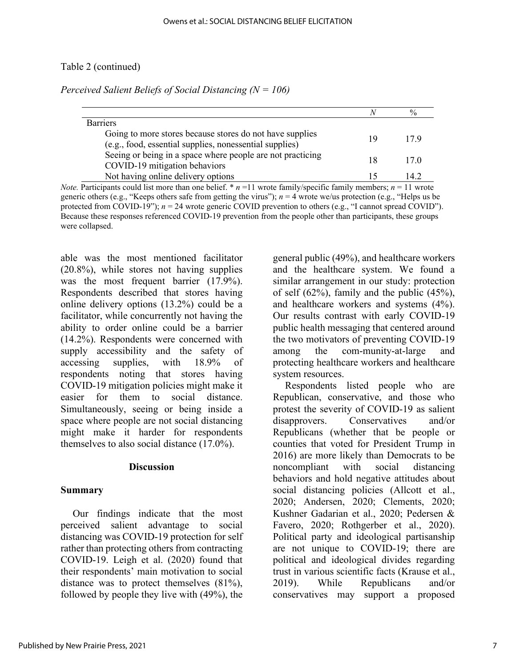### Table 2 (continued)

| Perceived Salient Beliefs of Social Distancing ( $N = 106$ ) |  |  |  |
|--------------------------------------------------------------|--|--|--|
|--------------------------------------------------------------|--|--|--|

| <b>Barriers</b>                                                                                                     |    |      |
|---------------------------------------------------------------------------------------------------------------------|----|------|
| Going to more stores because stores do not have supplies<br>(e.g., food, essential supplies, nonessential supplies) | ١Q | 17 9 |
| Seeing or being in a space where people are not practicing<br>COVID-19 mitigation behaviors                         |    | 17.0 |
| Not having online delivery options                                                                                  |    | 14 J |

*Note.* Participants could list more than one belief.  $* n = 11$  wrote family/specific family members;  $n = 11$  wrote generic others (e.g., "Keeps others safe from getting the virus");  $n = 4$  wrote we/us protection (e.g., "Helps us be protected from COVID-19");  $n = 24$  wrote generic COVID prevention to others (e.g., "I cannot spread COVID"). Because these responses referenced COVID-19 prevention from the people other than participants, these groups were collapsed.

able was the most mentioned facilitator (20.8%), while stores not having supplies was the most frequent barrier (17.9%). Respondents described that stores having online delivery options (13.2%) could be a facilitator, while concurrently not having the ability to order online could be a barrier (14.2%). Respondents were concerned with supply accessibility and the safety of accessing supplies, with 18.9% of respondents noting that stores having COVID-19 mitigation policies might make it easier for them to social distance. Simultaneously, seeing or being inside a space where people are not social distancing might make it harder for respondents themselves to also social distance (17.0%).

#### **Discussion**

### **Summary**

Our findings indicate that the most perceived salient advantage to social distancing was COVID-19 protection for self rather than protecting others from contracting COVID-19. Leigh et al. (2020) found that their respondents' main motivation to social distance was to protect themselves (81%), followed by people they live with (49%), the

general public (49%), and healthcare workers and the healthcare system. We found a similar arrangement in our study: protection of self (62%), family and the public (45%), and healthcare workers and systems (4%). Our results contrast with early COVID-19 public health messaging that centered around the two motivators of preventing COVID-19 among the com-munity-at-large and protecting healthcare workers and healthcare system resources.

Respondents listed people who are Republican, conservative, and those who protest the severity of COVID-19 as salient disapprovers. Conservatives and/or Republicans (whether that be people or counties that voted for President Trump in 2016) are more likely than Democrats to be noncompliant with social distancing behaviors and hold negative attitudes about social distancing policies (Allcott et al., 2020; Andersen, 2020; Clements, 2020; Kushner Gadarian et al., 2020; Pedersen & Favero, 2020; Rothgerber et al., 2020). Political party and ideological partisanship are not unique to COVID-19; there are political and ideological divides regarding trust in various scientific facts (Krause et al., 2019). While Republicans and/or conservatives may support a proposed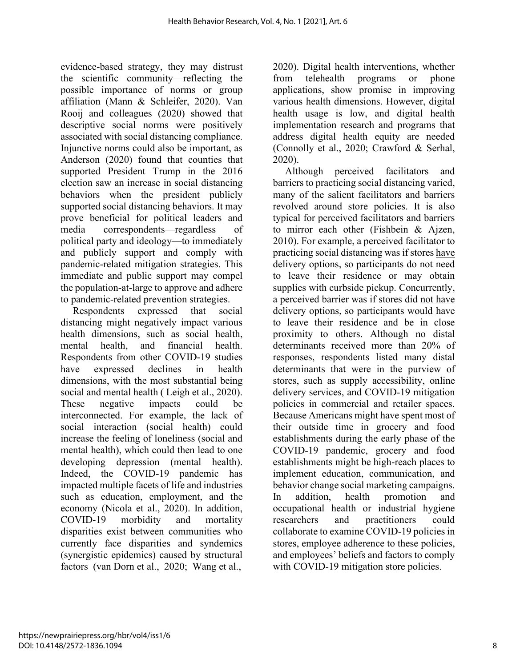evidence-based strategy, they may distrust the scientific community—reflecting the possible importance of norms or group affiliation (Mann & Schleifer, 2020). Van Rooij and colleagues (2020) showed that descriptive social norms were positively associated with social distancing compliance. Injunctive norms could also be important, as Anderson (2020) found that counties that supported President Trump in the 2016 election saw an increase in social distancing behaviors when the president publicly supported social distancing behaviors. It may prove beneficial for political leaders and media correspondents—regardless of political party and ideology—to immediately and publicly support and comply with pandemic-related mitigation strategies. This immediate and public support may compel the population-at-large to approve and adhere to pandemic-related prevention strategies.

Respondents expressed that social distancing might negatively impact various health dimensions, such as social health, mental health, and financial health. Respondents from other COVID-19 studies have expressed declines in health dimensions, with the most substantial being social and mental health ( Leigh et al., 2020). These negative impacts could be interconnected. For example, the lack of social interaction (social health) could increase the feeling of loneliness (social and mental health), which could then lead to one developing depression (mental health). Indeed, the COVID-19 pandemic has impacted multiple facets of life and industries such as education, employment, and the economy (Nicola et al., 2020). In addition, COVID-19 morbidity and mortality disparities exist between communities who currently face disparities and syndemics (synergistic epidemics) caused by structural factors (van Dorn et al., 2020; Wang et al.,

2020). Digital health interventions, whether from telehealth programs or phone applications, show promise in improving various health dimensions. However, digital health usage is low, and digital health implementation research and programs that address digital health equity are needed (Connolly et al., 2020; Crawford & Serhal, 2020).

Although perceived facilitators and barriers to practicing social distancing varied, many of the salient facilitators and barriers revolved around store policies. It is also typical for perceived facilitators and barriers to mirror each other (Fishbein & Ajzen, 2010). For example, a perceived facilitator to practicing social distancing was if stores have delivery options, so participants do not need to leave their residence or may obtain supplies with curbside pickup. Concurrently, a perceived barrier was if stores did not have delivery options, so participants would have to leave their residence and be in close proximity to others. Although no distal determinants received more than 20% of responses, respondents listed many distal determinants that were in the purview of stores, such as supply accessibility, online delivery services, and COVID-19 mitigation policies in commercial and retailer spaces. Because Americans might have spent most of their outside time in grocery and food establishments during the early phase of the COVID-19 pandemic, grocery and food establishments might be high-reach places to implement education, communication, and behavior change social marketing campaigns. In addition, health promotion and occupational health or industrial hygiene researchers and practitioners could collaborate to examine COVID-19 policies in stores, employee adherence to these policies, and employees' beliefs and factors to comply with COVID-19 mitigation store policies.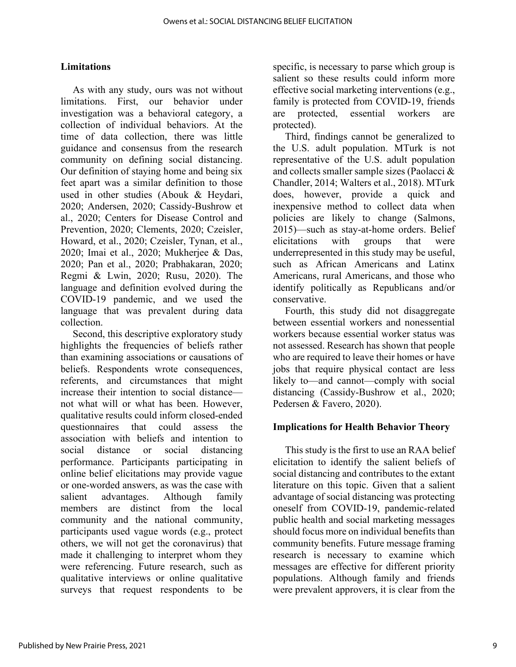### **Limitations**

As with any study, ours was not without limitations. First, our behavior under investigation was a behavioral category, a collection of individual behaviors. At the time of data collection, there was little guidance and consensus from the research community on defining social distancing. Our definition of staying home and being six feet apart was a similar definition to those used in other studies (Abouk & Heydari, 2020; Andersen, 2020; Cassidy-Bushrow et al., 2020; Centers for Disease Control and Prevention, 2020; Clements, 2020; Czeisler, Howard, et al., 2020; Czeisler, Tynan, et al., 2020; Imai et al., 2020; Mukherjee & Das, 2020; Pan et al., 2020; Prabhakaran, 2020; Regmi & Lwin, 2020; Rusu, 2020). The language and definition evolved during the COVID-19 pandemic, and we used the language that was prevalent during data collection.

Second, this descriptive exploratory study highlights the frequencies of beliefs rather than examining associations or causations of beliefs. Respondents wrote consequences, referents, and circumstances that might increase their intention to social distance not what will or what has been. However, qualitative results could inform closed-ended questionnaires that could assess the association with beliefs and intention to social distance or social distancing performance. Participants participating in online belief elicitations may provide vague or one-worded answers, as was the case with salient advantages. Although family members are distinct from the local community and the national community, participants used vague words (e.g., protect others, we will not get the coronavirus) that made it challenging to interpret whom they were referencing. Future research, such as qualitative interviews or online qualitative surveys that request respondents to be

specific, is necessary to parse which group is salient so these results could inform more effective social marketing interventions (e.g., family is protected from COVID-19, friends are protected, essential workers are protected).

Third, findings cannot be generalized to the U.S. adult population. MTurk is not representative of the U.S. adult population and collects smaller sample sizes (Paolacci & Chandler, 2014; Walters et al., 2018). MTurk does, however, provide a quick and inexpensive method to collect data when policies are likely to change (Salmons, 2015)—such as stay-at-home orders. Belief elicitations with groups that were underrepresented in this study may be useful, such as African Americans and Latinx Americans, rural Americans, and those who identify politically as Republicans and/or conservative.

Fourth, this study did not disaggregate between essential workers and nonessential workers because essential worker status was not assessed. Research has shown that people who are required to leave their homes or have jobs that require physical contact are less likely to—and cannot—comply with social distancing (Cassidy-Bushrow et al., 2020; Pedersen & Favero, 2020).

### **Implications for Health Behavior Theory**

This study is the first to use an RAA belief elicitation to identify the salient beliefs of social distancing and contributes to the extant literature on this topic. Given that a salient advantage of social distancing was protecting oneself from COVID-19, pandemic-related public health and social marketing messages should focus more on individual benefits than community benefits. Future message framing research is necessary to examine which messages are effective for different priority populations. Although family and friends were prevalent approvers, it is clear from the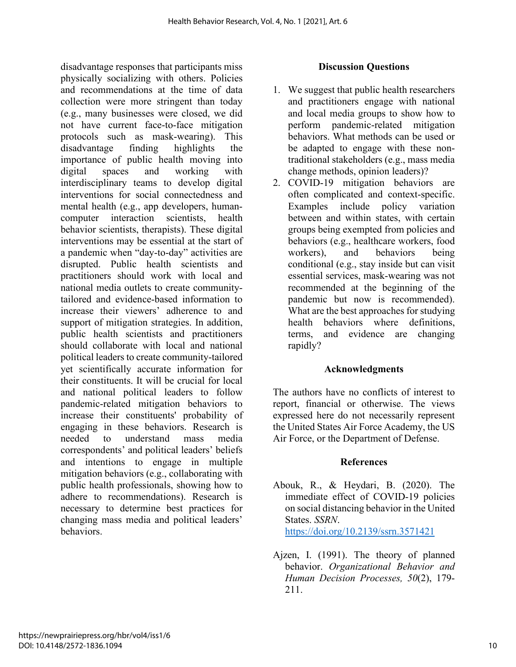disadvantage responses that participants miss physically socializing with others. Policies and recommendations at the time of data collection were more stringent than today (e.g., many businesses were closed, we did not have current face-to-face mitigation protocols such as mask-wearing). This disadvantage finding highlights the importance of public health moving into digital spaces and working with interdisciplinary teams to develop digital interventions for social connectedness and mental health (e.g., app developers, humancomputer interaction scientists, health behavior scientists, therapists). These digital interventions may be essential at the start of a pandemic when "day-to-day" activities are disrupted. Public health scientists and practitioners should work with local and national media outlets to create communitytailored and evidence-based information to increase their viewers' adherence to and support of mitigation strategies. In addition, public health scientists and practitioners should collaborate with local and national political leaders to create community-tailored yet scientifically accurate information for their constituents. It will be crucial for local and national political leaders to follow pandemic-related mitigation behaviors to increase their constituents' probability of engaging in these behaviors. Research is needed to understand mass media correspondents' and political leaders' beliefs and intentions to engage in multiple mitigation behaviors (e.g., collaborating with public health professionals, showing how to adhere to recommendations). Research is necessary to determine best practices for changing mass media and political leaders' behaviors.

### **Discussion Questions**

- 1. We suggest that public health researchers and practitioners engage with national and local media groups to show how to perform pandemic-related mitigation behaviors. What methods can be used or be adapted to engage with these nontraditional stakeholders (e.g., mass media change methods, opinion leaders)?
- 2. COVID-19 mitigation behaviors are often complicated and context-specific. Examples include policy variation between and within states, with certain groups being exempted from policies and behaviors (e.g., healthcare workers, food workers), and behaviors being conditional (e.g., stay inside but can visit essential services, mask-wearing was not recommended at the beginning of the pandemic but now is recommended). What are the best approaches for studying health behaviors where definitions, terms, and evidence are changing rapidly?

### **Acknowledgments**

The authors have no conflicts of interest to report, financial or otherwise. The views expressed here do not necessarily represent the United States Air Force Academy, the US Air Force, or the Department of Defense.

### **References**

Abouk, R., & Heydari, B. (2020). The immediate effect of COVID-19 policies on social distancing behavior in the United States. *SSRN*.

<https://doi.org/10.2139/ssrn.3571421>

Ajzen, I. (1991). The theory of planned behavior. *Organizational Behavior and Human Decision Processes, 50*(2), 179- 211.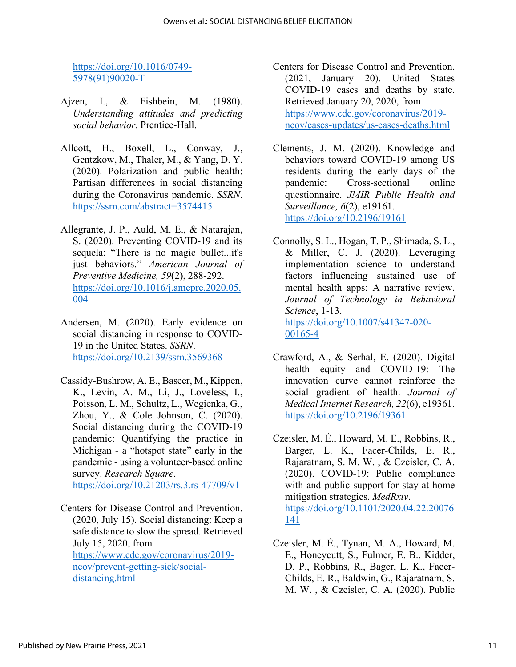[https://doi.org/10.1016/0749-](https://doi.org/10.1016/0749-5978(91)90020-T) [5978\(91\)90020-T](https://doi.org/10.1016/0749-5978(91)90020-T)

- Ajzen, I., & Fishbein, M. (1980). *Understanding attitudes and predicting social behavior*. Prentice-Hall.
- Allcott, H., Boxell, L., Conway, J., Gentzkow, M., Thaler, M., & Yang, D. Y. (2020). Polarization and public health: Partisan differences in social distancing during the Coronavirus pandemic. *SSRN*. <https://ssrn.com/abstract=3574415>
- Allegrante, J. P., Auld, M. E., & Natarajan, S. (2020). Preventing COVID-19 and its sequela: "There is no magic bullet...it's just behaviors." *American Journal of Preventive Medicine, 59*(2), 288-292. [https://doi.org/10.1016/j.amepre.2020.05.](https://doi.org/10.1016/j.amepre.2020.05.004) [004](https://doi.org/10.1016/j.amepre.2020.05.004)
- Andersen, M. (2020). Early evidence on social distancing in response to COVID-19 in the United States. *SSRN*. <https://doi.org/10.2139/ssrn.3569368>
- Cassidy-Bushrow, A. E., Baseer, M., Kippen, K., Levin, A. M., Li, J., Loveless, I., Poisson, L. M., Schultz, L., Wegienka, G., Zhou, Y., & Cole Johnson, C. (2020). Social distancing during the COVID-19 pandemic: Quantifying the practice in Michigan - a "hotspot state" early in the pandemic - using a volunteer-based online survey. *Research Square*. <https://doi.org/10.21203/rs.3.rs-47709/v1>
- Centers for Disease Control and Prevention. (2020, July 15). Social distancing: Keep a safe distance to slow the spread. Retrieved July 15, 2020, from [https://www.cdc.gov/coronavirus/2019](https://www.cdc.gov/coronavirus/2019-ncov/prevent-getting-sick/social-distancing.html) [ncov/prevent-getting-sick/social](https://www.cdc.gov/coronavirus/2019-ncov/prevent-getting-sick/social-distancing.html)[distancing.html](https://www.cdc.gov/coronavirus/2019-ncov/prevent-getting-sick/social-distancing.html)
- Centers for Disease Control and Prevention. (2021, January 20). United States COVID-19 cases and deaths by state. Retrieved January 20, 2020, from [https://www.cdc.gov/coronavirus/2019](https://www.cdc.gov/coronavirus/2019-ncov/cases-updates/us-cases-deaths.html) [ncov/cases-updates/us-cases-deaths.html](https://www.cdc.gov/coronavirus/2019-ncov/cases-updates/us-cases-deaths.html)
- Clements, J. M. (2020). Knowledge and behaviors toward COVID-19 among US residents during the early days of the pandemic: Cross-sectional online questionnaire. *JMIR Public Health and Surveillance, 6*(2), e19161. <https://doi.org/10.2196/19161>
- Connolly, S. L., Hogan, T. P., Shimada, S. L., & Miller, C. J. (2020). Leveraging implementation science to understand factors influencing sustained use of mental health apps: A narrative review. *Journal of Technology in Behavioral Science*, 1-13. [https://doi.org/10.1007/s41347-020-](https://doi.org/10.1007/s41347-020-00165-4) [00165-4](https://doi.org/10.1007/s41347-020-00165-4)
- Crawford, A., & Serhal, E. (2020). Digital health equity and COVID-19: The innovation curve cannot reinforce the social gradient of health. *Journal of Medical Internet Research, 22*(6), e19361. <https://doi.org/10.2196/19361>
- Czeisler, M. É., Howard, M. E., Robbins, R., Barger, L. K., Facer-Childs, E. R., Rajaratnam, S. M. W. , & Czeisler, C. A. (2020). COVID-19: Public compliance with and public support for stay-at-home mitigation strategies. *MedRxiv*. [https://doi.org/10.1101/2020.04.22.20076](https://doi.org/10.1101/2020.04.22.20076141) [141](https://doi.org/10.1101/2020.04.22.20076141)
- Czeisler, M. É., Tynan, M. A., Howard, M. E., Honeycutt, S., Fulmer, E. B., Kidder, D. P., Robbins, R., Bager, L. K., Facer-Childs, E. R., Baldwin, G., Rajaratnam, S. M. W. , & Czeisler, C. A. (2020). Public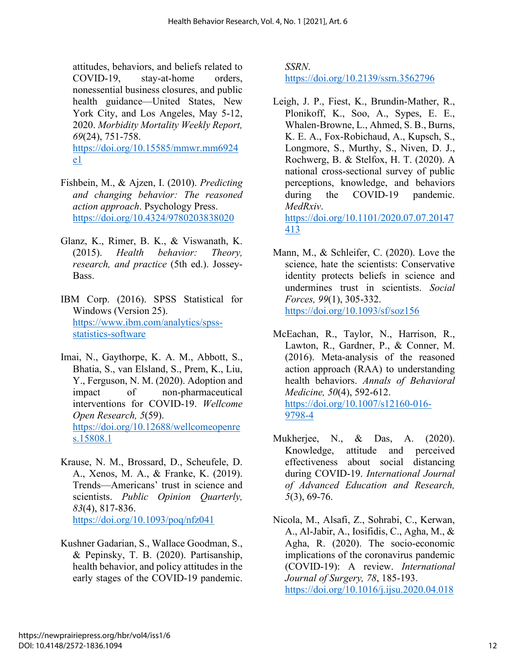attitudes, behaviors, and beliefs related to COVID-19, stay-at-home orders, nonessential business closures, and public health guidance—United States, New York City, and Los Angeles, May 5-12, 2020. *Morbidity Mortality Weekly Report, 69*(24), 751-758. [https://doi.org/10.15585/mmwr.mm6924](https://doi.org/10.15585/mmwr.mm6924e1) [e1](https://doi.org/10.15585/mmwr.mm6924e1) 

- Fishbein, M., & Ajzen, I. (2010). *Predicting and changing behavior: The reasoned action approach*. Psychology Press. <https://doi.org/10.4324/9780203838020>
- Glanz, K., Rimer, B. K., & Viswanath, K. (2015). *Health behavior: Theory, research, and practice* (5th ed.). Jossey-Bass.
- IBM Corp. (2016). SPSS Statistical for Windows (Version 25). [https://www.ibm.com/analytics/spss](https://www.ibm.com/analytics/spss-statistics-software)[statistics-software](https://www.ibm.com/analytics/spss-statistics-software)
- Imai, N., Gaythorpe, K. A. M., Abbott, S., Bhatia, S., van Elsland, S., Prem, K., Liu, Y., Ferguson, N. M. (2020). Adoption and impact of non-pharmaceutical interventions for COVID-19. *Wellcome Open Research, 5*(59). [https://doi.org/10.12688/wellcomeopenre](https://doi.org/10.12688/wellcomeopenres.15808.1) [s.15808.1](https://doi.org/10.12688/wellcomeopenres.15808.1)
- Krause, N. M., Brossard, D., Scheufele, D. A., Xenos, M. A., & Franke, K. (2019). Trends—Americans' trust in science and scientists. *Public Opinion Quarterly, 83*(4), 817-836. <https://doi.org/10.1093/poq/nfz041>
- Kushner Gadarian, S., Wallace Goodman, S., & Pepinsky, T. B. (2020). Partisanship, health behavior, and policy attitudes in the early stages of the COVID-19 pandemic.

*SSRN*. <https://doi.org/10.2139/ssrn.3562796>

- Leigh, J. P., Fiest, K., Brundin-Mather, R., Plonikoff, K., Soo, A., Sypes, E. E., Whalen-Browne, L., Ahmed, S. B., Burns, K. E. A., Fox-Robichaud, A., Kupsch, S., Longmore, S., Murthy, S., Niven, D. J., Rochwerg, B. & Stelfox, H. T. (2020). A national cross-sectional survey of public perceptions, knowledge, and behaviors during the COVID-19 pandemic. *MedRxiv*. [https://doi.org/10.1101/2020.07.07.20147](https://doi.org/10.1101/2020.07.07.20147413) [413](https://doi.org/10.1101/2020.07.07.20147413)
- Mann, M., & Schleifer, C. (2020). Love the science, hate the scientists: Conservative identity protects beliefs in science and undermines trust in scientists. *Social Forces, 99*(1), 305-332. <https://doi.org/10.1093/sf/soz156>
- McEachan, R., Taylor, N., Harrison, R., Lawton, R., Gardner, P., & Conner, M. (2016). Meta-analysis of the reasoned action approach (RAA) to understanding health behaviors. *Annals of Behavioral Medicine, 50*(4), 592-612. [https://doi.org/10.1007/s12160-016-](https://doi.org/10.1007/s12160-016-9798-4) [9798-4](https://doi.org/10.1007/s12160-016-9798-4)
- Mukherjee, N., & Das, A. (2020). Knowledge, attitude and perceived effectiveness about social distancing during COVID-19. *International Journal of Advanced Education and Research, 5*(3), 69-76.
- Nicola, M., Alsafi, Z., Sohrabi, C., Kerwan, A., Al-Jabir, A., Iosifidis, C., Agha, M., & Agha, R. (2020). The socio-economic implications of the coronavirus pandemic (COVID-19): A review. *International Journal of Surgery, 78*, 185-193. <https://doi.org/10.1016/j.ijsu.2020.04.018>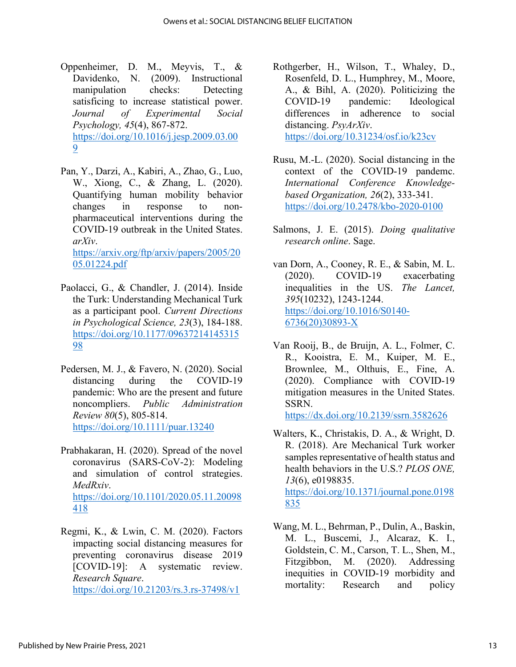- Oppenheimer, D. M., Meyvis, T., & Davidenko, N. (2009). Instructional manipulation checks: Detecting satisficing to increase statistical power. *Journal of Experimental Social Psychology, 45*(4), 867-872. [https://doi.org/10.1016/j.jesp.2009.03.00](https://doi.org/10.1016/j.jesp.2009.03.009) [9](https://doi.org/10.1016/j.jesp.2009.03.009)
- Pan, Y., Darzi, A., Kabiri, A., Zhao, G., Luo, W., Xiong, C., & Zhang, L. (2020). Quantifying human mobility behavior changes in response to nonpharmaceutical interventions during the COVID-19 outbreak in the United States. *arXiv*. [https://arxiv.org/ftp/arxiv/papers/2005/20](https://arxiv.org/ftp/arxiv/papers/2005/2005.01224.pdf) [05.01224.pdf](https://arxiv.org/ftp/arxiv/papers/2005/2005.01224.pdf)
- Paolacci, G., & Chandler, J. (2014). Inside the Turk: Understanding Mechanical Turk as a participant pool. *Current Directions in Psychological Science, 23*(3), 184-188. [https://doi.org/10.1177/09637214145315](https://doi.org/10.1177/0963721414531598) [98](https://doi.org/10.1177/0963721414531598)
- Pedersen, M. J., & Favero, N. (2020). Social distancing during the COVID-19 pandemic: Who are the present and future noncompliers. *Public Administration Review 80*(5), 805-814. <https://doi.org/10.1111/puar.13240>
- Prabhakaran, H. (2020). Spread of the novel coronavirus (SARS-CoV-2): Modeling and simulation of control strategies. *MedRxiv*. [https://doi.org/10.1101/2020.05.11.20098](https://doi.org/10.1101/2020.05.11.20098418) [418](https://doi.org/10.1101/2020.05.11.20098418)
- Regmi, K., & Lwin, C. M. (2020). Factors impacting social distancing measures for preventing coronavirus disease 2019 [COVID-19]: A systematic review. *Research Square*. <https://doi.org/10.21203/rs.3.rs-37498/v1>

Rothgerber, H., Wilson, T., Whaley, D., Rosenfeld, D. L., Humphrey, M., Moore, A., & Bihl, A. (2020). Politicizing the COVID-19 pandemic: Ideological differences in adherence to social distancing. *PsyArXiv*. <https://doi.org/10.31234/osf.io/k23cv>

- Rusu, M.-L. (2020). Social distancing in the context of the COVID-19 pandemc. *International Conference Knowledgebased Organization, 26*(2), 333-341. <https://doi.org/10.2478/kbo-2020-0100>
- Salmons, J. E. (2015). *Doing qualitative research online*. Sage.
- van Dorn, A., Cooney, R. E., & Sabin, M. L. (2020). COVID-19 exacerbating inequalities in the US. *The Lancet, 395*(10232), 1243-1244. [https://doi.org/10.1016/S0140-](https://doi.org/10.1016/S0140-6736(20)30893-X) [6736\(20\)30893-X](https://doi.org/10.1016/S0140-6736(20)30893-X)
- Van Rooij, B., de Bruijn, A. L., Folmer, C. R., Kooistra, E. M., Kuiper, M. E., Brownlee, M., Olthuis, E., Fine, A. (2020). Compliance with COVID-19 mitigation measures in the United States. SSRN.

<https://dx.doi.org/10.2139/ssrn.3582626>

Walters, K., Christakis, D. A., & Wright, D. R. (2018). Are Mechanical Turk worker samples representative of health status and health behaviors in the U.S.? *PLOS ONE, 13*(6), e0198835.

[https://doi.org/10.1371/journal.pone.0198](https://doi.org/10.1371/journal.pone.0198835) [835](https://doi.org/10.1371/journal.pone.0198835) 

Wang, M. L., Behrman, P., Dulin, A., Baskin, M. L., Buscemi, J., Alcaraz, K. I., Goldstein, C. M., Carson, T. L., Shen, M., Fitzgibbon, M. (2020). Addressing inequities in COVID-19 morbidity and mortality: Research and policy